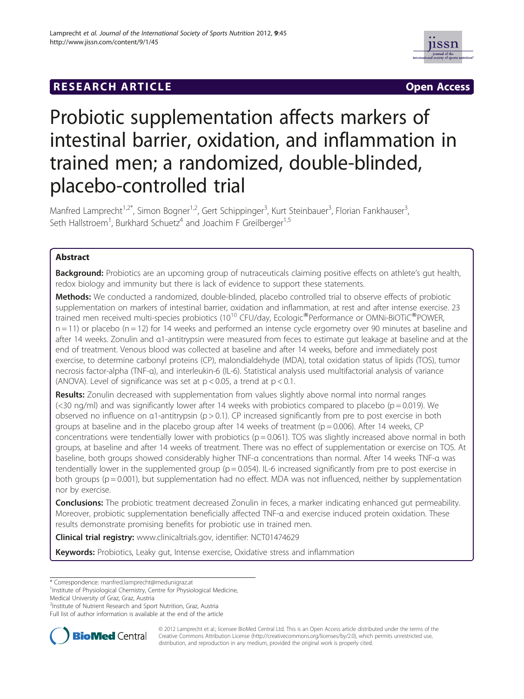# **RESEARCH ARTICLE Example 20 and 20 and 20 and 20 and 20 and 20 and 20 and 20 and 20 and 20 and 20 and 20 and 20 and 20 and 20 and 20 and 20 and 20 and 20 and 20 and 20 and 20 and 20 and 20 and 20 and 20 and 20 and 20 an**



# Probiotic supplementation affects markers of intestinal barrier, oxidation, and inflammation in trained men; a randomized, double-blinded, placebo-controlled trial

Manfred Lamprecht<sup>1,2\*</sup>, Simon Bogner<sup>1,2</sup>, Gert Schippinger<sup>3</sup>, Kurt Steinbauer<sup>3</sup>, Florian Fankhauser<sup>3</sup> , Seth Hallstroem<sup>1</sup>, Burkhard Schuetz<sup>4</sup> and Joachim F Greilberger<sup>1,5</sup>

# Abstract

Background: Probiotics are an upcoming group of nutraceuticals claiming positive effects on athlete's gut health, redox biology and immunity but there is lack of evidence to support these statements.

Methods: We conducted a randomized, double-blinded, placebo controlled trial to observe effects of probiotic supplementation on markers of intestinal barrier, oxidation and inflammation, at rest and after intense exercise. 23 trained men received multi-species probiotics (10<sup>10</sup> CFU/day, Ecologic®Performance or OMNi-BiOTiC®POWER, n = 11) or placebo (n = 12) for 14 weeks and performed an intense cycle ergometry over 90 minutes at baseline and after 14 weeks. Zonulin and α1-antitrypsin were measured from feces to estimate gut leakage at baseline and at the end of treatment. Venous blood was collected at baseline and after 14 weeks, before and immediately post exercise, to determine carbonyl proteins (CP), malondialdehyde (MDA), total oxidation status of lipids (TOS), tumor necrosis factor-alpha (TNF-α), and interleukin-6 (IL-6). Statistical analysis used multifactorial analysis of variance (ANOVA). Level of significance was set at  $p < 0.05$ , a trend at  $p < 0.1$ .

Results: Zonulin decreased with supplementation from values slightly above normal into normal ranges  $\langle$  <30 ng/ml) and was significantly lower after 14 weeks with probiotics compared to placebo (p = 0.019). We observed no influence on α1-antitrypsin (p > 0.1). CP increased significantly from pre to post exercise in both groups at baseline and in the placebo group after 14 weeks of treatment ( $p = 0.006$ ). After 14 weeks, CP concentrations were tendentially lower with probiotics ( $p = 0.061$ ). TOS was slightly increased above normal in both groups, at baseline and after 14 weeks of treatment. There was no effect of supplementation or exercise on TOS. At baseline, both groups showed considerably higher TNF-α concentrations than normal. After 14 weeks TNF-α was tendentially lower in the supplemented group (p = 0.054). IL-6 increased significantly from pre to post exercise in both groups (p = 0.001), but supplementation had no effect. MDA was not influenced, neither by supplementation nor by exercise.

**Conclusions:** The probiotic treatment decreased Zonulin in feces, a marker indicating enhanced gut permeability. Moreover, probiotic supplementation beneficially affected TNF-α and exercise induced protein oxidation. These results demonstrate promising benefits for probiotic use in trained men.

Clinical trial registry: [www.clinicaltrials.gov,](http://www.clinicaltrials.gov) identifier: NCT01474629

Keywords: Probiotics, Leaky gut, Intense exercise, Oxidative stress and inflammation

Medical University of Graz, Graz, Austria

Full list of author information is available at the end of the article



© 2012 Lamprecht et al.; licensee BioMed Central Ltd. This is an Open Access article distributed under the terms of the Creative Commons Attribution License (<http://creativecommons.org/licenses/by/2.0>), which permits unrestricted use, distribution, and reproduction in any medium, provided the original work is properly cited.

<sup>\*</sup> Correspondence: [manfred.lamprecht@medunigraz.at](mailto:manfred.lamprecht@medunigraz.at) <sup>1</sup>

<sup>&</sup>lt;sup>1</sup>Institute of Physiological Chemistry, Centre for Physiological Medicine,

<sup>2</sup> Institute of Nutrient Research and Sport Nutrition, Graz, Austria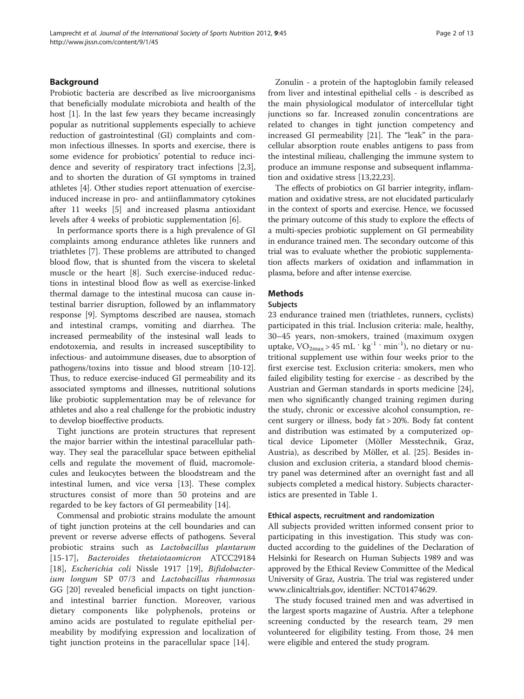# Background

Probiotic bacteria are described as live microorganisms that beneficially modulate microbiota and health of the host [\[1](#page-11-0)]. In the last few years they became increasingly popular as nutritional supplements especially to achieve reduction of gastrointestinal (GI) complaints and common infectious illnesses. In sports and exercise, there is some evidence for probiotics' potential to reduce incidence and severity of respiratory tract infections [\[2,3](#page-11-0)], and to shorten the duration of GI symptoms in trained athletes [\[4\]](#page-11-0). Other studies report attenuation of exerciseinduced increase in pro- and antiinflammatory cytokines after 11 weeks [\[5](#page-11-0)] and increased plasma antioxidant levels after 4 weeks of probiotic supplementation [[6\]](#page-11-0).

In performance sports there is a high prevalence of GI complaints among endurance athletes like runners and triathletes [[7\]](#page-11-0). These problems are attributed to changed blood flow, that is shunted from the viscera to skeletal muscle or the heart [[8\]](#page-11-0). Such exercise-induced reductions in intestinal blood flow as well as exercise-linked thermal damage to the intestinal mucosa can cause intestinal barrier disruption, followed by an inflammatory response [[9\]](#page-11-0). Symptoms described are nausea, stomach and intestinal cramps, vomiting and diarrhea. The increased permeability of the instesinal wall leads to endotoxemia, and results in increased susceptibility to infectious- and autoimmune diseases, due to absorption of pathogens/toxins into tissue and blood stream [[10](#page-11-0)-[12](#page-11-0)]. Thus, to reduce exercise-induced GI permeability and its associated symptoms and illnesses, nutritional solutions like probiotic supplementation may be of relevance for athletes and also a real challenge for the probiotic industry to develop bioeffective products.

Tight junctions are protein structures that represent the major barrier within the intestinal paracellular pathway. They seal the paracellular space between epithelial cells and regulate the movement of fluid, macromolecules and leukocytes between the bloodstream and the intestinal lumen, and vice versa [\[13\]](#page-11-0). These complex structures consist of more than 50 proteins and are regarded to be key factors of GI permeability [\[14\]](#page-11-0).

Commensal and probiotic strains modulate the amount of tight junction proteins at the cell boundaries and can prevent or reverse adverse effects of pathogens. Several probiotic strains such as Lactobacillus plantarum [[15-17\]](#page-11-0), Bacteroides thetaiotaomicron ATCC29184 [[18\]](#page-11-0), Escherichia coli Nissle 1917 [\[19](#page-11-0)], Bifidobacterium longum SP 07/3 and Lactobacillus rhamnosus GG [[20\]](#page-11-0) revealed beneficial impacts on tight junctionand intestinal barrier function. Moreover, various dietary components like polyphenols, proteins or amino acids are postulated to regulate epithelial permeability by modifying expression and localization of tight junction proteins in the paracellular space [\[14](#page-11-0)].

Zonulin - a protein of the haptoglobin family released from liver and intestinal epithelial cells - is described as the main physiological modulator of intercellular tight junctions so far. Increased zonulin concentrations are related to changes in tight junction competency and increased GI permeability [\[21](#page-11-0)]. The "leak" in the paracellular absorption route enables antigens to pass from the intestinal milieau, challenging the immune system to produce an immune response and subsequent inflammation and oxidative stress [\[13,22,23](#page-11-0)].

The effects of probiotics on GI barrier integrity, inflammation and oxidative stress, are not elucidated particularly in the context of sports and exercise. Hence, we focussed the primary outcome of this study to explore the effects of a multi-species probiotic supplement on GI permeability in endurance trained men. The secondary outcome of this trial was to evaluate whether the probiotic supplementation affects markers of oxidation and inflammation in plasma, before and after intense exercise.

# Methods

#### Subjects

23 endurance trained men (triathletes, runners, cyclists) participated in this trial. Inclusion criteria: male, healthy, 30–45 years, non-smokers, trained (maximum oxygen uptake,  $VO_{2max}$  > 45 mL  $\cdot$  kg<sup>-1</sup>  $\cdot$  min<sup>-1</sup>), no dietary or nutritional supplement use within four weeks prior to the first exercise test. Exclusion criteria: smokers, men who failed eligibility testing for exercise - as described by the Austrian and German standards in sports medicine [\[24](#page-11-0)], men who significantly changed training regimen during the study, chronic or excessive alcohol consumption, recent surgery or illness, body fat > 20%. Body fat content and distribution was estimated by a computerized optical device Lipometer (Möller Messtechnik, Graz, Austria), as described by Möller, et al. [[25\]](#page-11-0). Besides inclusion and exclusion criteria, a standard blood chemistry panel was determined after an overnight fast and all subjects completed a medical history. Subjects characteristics are presented in Table [1.](#page-2-0)

#### Ethical aspects, recruitment and randomization

All subjects provided written informed consent prior to participating in this investigation. This study was conducted according to the guidelines of the Declaration of Helsinki for Research on Human Subjects 1989 and was approved by the Ethical Review Committee of the Medical University of Graz, Austria. The trial was registered under [www.clinicaltrials.gov,](http://www.clinicaltrials.gov) identifier: NCT01474629.

The study focused trained men and was advertised in the largest sports magazine of Austria. After a telephone screening conducted by the research team, 29 men volunteered for eligibility testing. From those, 24 men were eligible and entered the study program.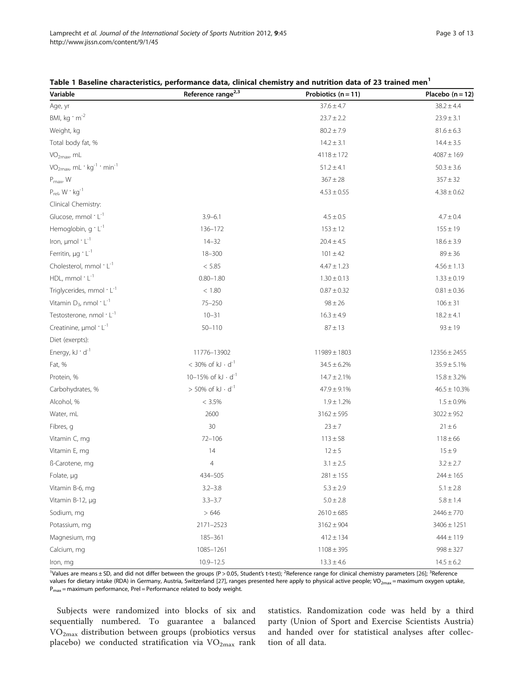| Variable                                                        | Reference range <sup>2,3</sup>         | Probiotics $(n = 11)$ | Placebo $(n = 12)$ |
|-----------------------------------------------------------------|----------------------------------------|-----------------------|--------------------|
| Age, yr                                                         |                                        | $37.6 \pm 4.7$        | $38.2 \pm 4.4$     |
| BMI, kg $\cdot$ m <sup>-2</sup>                                 |                                        | $23.7 \pm 2.2$        | $23.9 \pm 3.1$     |
| Weight, kg                                                      |                                        | $80.2 \pm 7.9$        | $81.6 \pm 6.3$     |
| Total body fat, %                                               |                                        | $14.2 \pm 3.1$        | $14.4 \pm 3.5$     |
| $VO2max$ , mL                                                   |                                        | $4118 \pm 172$        | $4087 \pm 169$     |
| $VO2max$ , mL · kg <sup>-1</sup> · min <sup>-1</sup>            |                                        | $51.2 \pm 4.1$        | $50.3 \pm 3.6$     |
| $P_{\text{max}}$ , W                                            |                                        | $367 \pm 28$          | $357 \pm 32$       |
| $\mathsf{P}_{\mathsf{rel}}$ W $\cdot$ $\mathsf{kg}^{\text{-1}}$ |                                        | $4.53 \pm 0.55$       | $4.38 \pm 0.62$    |
| Clinical Chemistry:                                             |                                        |                       |                    |
| Glucose, mmol · L <sup>-1</sup>                                 | $3.9 - 6.1$                            | $4.5 \pm 0.5$         | $4.7 \pm 0.4$      |
| Hemoglobin, $g \cdot L^{-1}$                                    | 136-172                                | $153 \pm 12$          | $155 \pm 19$       |
| Iron, $\mu$ mol $\cdot$ L <sup>-1</sup>                         | $14 - 32$                              | $20.4 \pm 4.5$        | $18.6 \pm 3.9$     |
| Ferritin, $\mu q \cdot L^{-1}$                                  | $18 - 300$                             | $101 \pm 42$          | $89 \pm 36$        |
| Cholesterol, mmol $\cdot$ L <sup>-1</sup>                       | < 5.85                                 | $4.47 \pm 1.23$       | $4.56 \pm 1.13$    |
| HDL, mmol $\cdot$ L <sup>-1</sup>                               | $0.80 - 1.80$                          | $1.30 \pm 0.13$       | $1.33 \pm 0.19$    |
| Triglycerides, mmol . L <sup>-1</sup>                           | < 1.80                                 | $0.87 \pm 0.32$       | $0.81 \pm 0.36$    |
| Vitamin $D_3$ , nmol $L^{-1}$                                   | $75 - 250$                             | $98 \pm 26$           | $106 \pm 31$       |
| Testosterone, nmol · L <sup>-1</sup>                            | $10 - 31$                              | $16.3 \pm 4.9$        | $18.2 \pm 4.1$     |
| Creatinine, $\mu$ mol $L^{-1}$                                  | $50 - 110$                             | $87\pm13$             | $93 \pm 19$        |
| Diet (exerpts):                                                 |                                        |                       |                    |
| Energy, $kJ \cdot d^{-1}$                                       | 11776-13902                            | $11989 \pm 1803$      | $12356 \pm 2455$   |
| Fat, %                                                          | $<$ 30% of kJ $\cdot$ d <sup>-1</sup>  | $34.5 \pm 6.2\%$      | $35.9 \pm 5.1\%$   |
| Protein, %                                                      | 10-15% of $kJ \cdot d^{-1}$            | $14.7 \pm 2.1\%$      | $15.8 \pm 3.2\%$   |
| Carbohydrates, %                                                | $> 50\%$ of kJ $\cdot$ d <sup>-1</sup> | $47.9 \pm 9.1\%$      | $46.5 \pm 10.3\%$  |
| Alcohol, %                                                      | < 3.5%                                 | $1.9 \pm 1.2\%$       | $1.5 \pm 0.9\%$    |
| Water, mL                                                       | 2600                                   | $3162 \pm 595$        | $3022 \pm 952$     |
| Fibres, g                                                       | 30                                     | $23 \pm 7$            | $21 \pm 6$         |
| Vitamin C, mg                                                   | $72 - 106$                             | $113 \pm 58$          | $118 \pm 66$       |
| Vitamin E, mg                                                   | 14                                     | $12 \pm 5$            | $15 \pm 9$         |
| ß-Carotene, mg                                                  | $\overline{4}$                         | $3.1 \pm 2.5$         | $3.2 \pm 2.7$      |
| Folate, µg                                                      | 434-505                                | $281 \pm 155$         | $244 \pm 165$      |
| Vitamin B-6, mg                                                 | $3.2 - 3.8$                            | $5.3 \pm 2.9$         | $5.1 \pm 2.8$      |
| Vitamin B-12, µg                                                | $3.3 - 3.7$                            | $5.0\pm2.8$           | $5.8\pm1.4$        |
| Sodium, mg                                                      | >646                                   | $2610 \pm 685$        | $2446 \pm 770$     |
| Potassium, mg                                                   | 2171-2523                              | $3162 \pm 904$        | $3406 \pm 1251$    |
| Magnesium, mg                                                   | 185-361                                | $412 \pm 134$         | $444 \pm 119$      |
| Calcium, mg                                                     | 1085-1261                              | $1108 \pm 395$        | $998 \pm 327$      |
| Iron, mg                                                        | $10.9 - 12.5$                          | $13.3 \pm 4.6$        | $14.5 \pm 6.2$     |

<span id="page-2-0"></span>

|  | Table 1 Baseline characteristics, performance data, clinical chemistry and nutrition data of 23 trained men <sup>1</sup> |
|--|--------------------------------------------------------------------------------------------------------------------------|
|--|--------------------------------------------------------------------------------------------------------------------------|

Values are means ± SD, and did not differ between the groups (P > 0.05, Student's t-test); <sup>2</sup>Reference range for clinical chemistry parameters [[26\]](#page-11-0); <sup>3</sup>Reference values for dietary intake (RDA) in Germany, Austria, Switzerland [[27](#page-11-0)], ranges presented here apply to physical active people; VO<sub>2max</sub> = maximum oxygen uptake,  $P_{max}$  = maximum performance, Prel = Performance related to body weight.

Subjects were randomized into blocks of six and sequentially numbered. To guarantee a balanced VO2max distribution between groups (probiotics versus placebo) we conducted stratification via  $\rm VO_{2max}$  rank

statistics. Randomization code was held by a third party (Union of Sport and Exercise Scientists Austria) and handed over for statistical analyses after collection of all data.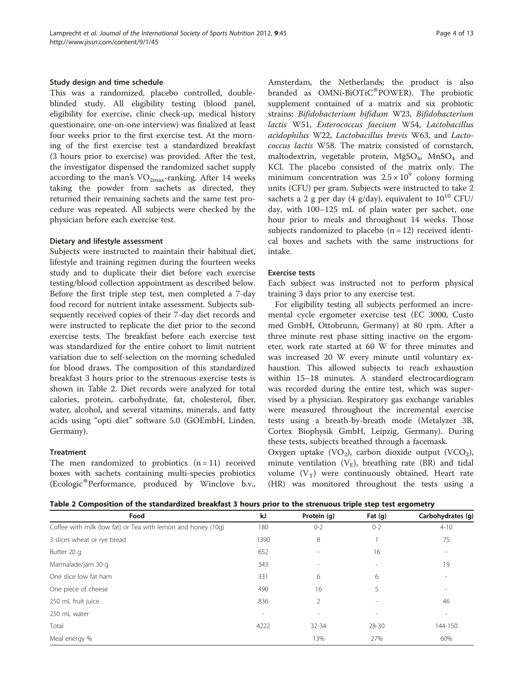#### Study design and time schedule

This was a randomized, placebo controlled, doubleblinded study. All eligibility testing (blood panel, eligibility for exercise, clinic check-up, medical history questionaire, one-on-one interview) was finalized at least four weeks prior to the first exercise test. At the morning of the first exercise test a standardized breakfast (3 hours prior to exercise) was provided. After the test, the investigator dispensed the randomized sachet supply according to the man's  $VO<sub>2max</sub>$ -ranking. After 14 weeks taking the powder from sachets as directed, they returned their remaining sachets and the same test procedure was repeated. All subjects were checked by the physician before each exercise test.

#### Dietary and lifestyle assessment

Subjects were instructed to maintain their habitual diet, lifestyle and training regimen during the fourteen weeks study and to duplicate their diet before each exercise testing/blood collection appointment as described below. Before the first triple step test, men completed a 7-day food record for nutrient intake assessment. Subjects subsequently received copies of their 7-day diet records and were instructed to replicate the diet prior to the second exercise tests. The breakfast before each exercise test was standardized for the entire cohort to limit nutrient variation due to self-selection on the morning scheduled for blood draws. The composition of this standardized breakfast 3 hours prior to the strenuous exercise tests is shown in Table 2. Diet records were analyzed for total calories, protein, carbohydrate, fat, cholesterol, fiber, water, alcohol, and several vitamins, minerals, and fatty acids using "opti diet" software 5.0 (GOEmbH, Linden, Germany).

# Treatment

The men randomized to probiotics  $(n = 11)$  received boxes with sachets containing multi-species probiotics (Ecologic<sup>®</sup>Performance, produced by Winclove b.v.,

Amsterdam, the Netherlands; the product is also branded as OMNi-BiOTiC®POWER). The probiotic supplement contained of a matrix and six probiotic strains: Bifidobacterium bifidum W23, Bifidobacterium lactis W51, Enterococcus faecium W54, Lactobacillus acidophilus W22, Lactobacillus brevis W63, and Lactococcus lactis W58. The matrix consisted of cornstarch, maltodextrin, vegetable protein,  $MgSO<sub>4</sub>$ ,  $MnSO<sub>4</sub>$  and KCl. The placebo consisted of the matrix only. The minimum concentration was  $2.5 \times 10^9$  colony forming units (CFU) per gram. Subjects were instructed to take 2 sachets a 2 g per day (4 g/day), equivalent to  $10^{10}$  CFU/ day, with 100–125 mL of plain water per sachet, one hour prior to meals and throughout 14 weeks. Those subjects randomized to placebo  $(n = 12)$  received identical boxes and sachets with the same instructions for intake.

#### Exercise tests

Each subject was instructed not to perform physical training 3 days prior to any exercise test.

For eligibility testing all subjects performed an incremental cycle ergometer exercise test (EC 3000, Custo med GmbH, Ottobrunn, Germany) at 80 rpm. After a three minute rest phase sitting inactive on the ergometer, work rate started at 60 W for three minutes and was increased 20 W every minute until voluntary exhaustion. This allowed subjects to reach exhaustion within 15–18 minutes. A standard electrocardiogram was recorded during the entire test, which was supervised by a physician. Respiratory gas exchange variables were measured throughout the incremental exercise tests using a breath-by-breath mode (Metalyzer 3B, Cortex Biophysik GmbH, Leipzig, Germany). During these tests, subjects breathed through a facemask.

Oxygen uptake  $(VO_2)$ , carbon dioxide output  $(VCO_2)$ , minute ventilation  $(V<sub>F</sub>)$ , breathing rate (BR) and tidal volume  $(V_T)$  were continuously obtained. Heart rate (HR) was monitored throughout the tests using a

| Table 2 Composition of the standardized breakfast 3 hours prior to the strenuous triple step test ergometry |  |  |
|-------------------------------------------------------------------------------------------------------------|--|--|
|-------------------------------------------------------------------------------------------------------------|--|--|

| Food                                                         | kJ   | Protein (q)<br>$0 - 2$   | Fat $(q)$<br>$0 - 2$ | Carbohydrates (q)<br>$4 - 10$ |
|--------------------------------------------------------------|------|--------------------------|----------------------|-------------------------------|
| Coffee with milk (low fat) or Tea with lemon and honey (10g) | 180  |                          |                      |                               |
| 3 slices wheat or rye bread                                  | 1390 | 8                        |                      | 75                            |
| Butter 20 g                                                  | 652  | $\overline{\phantom{a}}$ | 16                   | $\overline{\phantom{a}}$      |
| Marmalade/jam 30 g                                           | 343  | ٠                        |                      | 19                            |
| One slice low fat ham                                        | 331  | 6                        | 6                    |                               |
| One piece of cheese                                          | 490  | 16                       | 5                    |                               |
| 250 mL fruit juice                                           | 836  | 2                        |                      | 46                            |
| 250 mL water                                                 |      | $\overline{\phantom{a}}$ |                      |                               |
| Total                                                        | 4222 | 32-34                    | 28-30                | 144-150                       |
| Meal energy %                                                |      | 13%                      | 27%                  | 60%                           |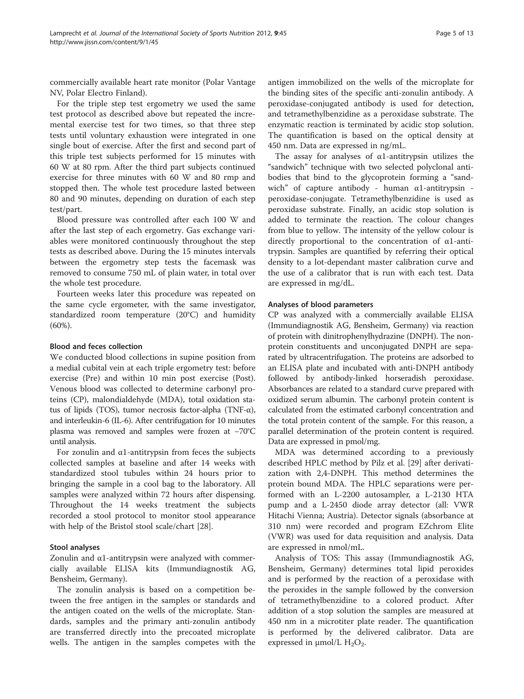commercially available heart rate monitor (Polar Vantage NV, Polar Electro Finland).

For the triple step test ergometry we used the same test protocol as described above but repeated the incremental exercise test for two times, so that three step tests until voluntary exhaustion were integrated in one single bout of exercise. After the first and second part of this triple test subjects performed for 15 minutes with 60 W at 80 rpm. After the third part subjects continued exercise for three minutes with 60 W and 80 rmp and stopped then. The whole test procedure lasted between 80 and 90 minutes, depending on duration of each step test/part.

Blood pressure was controlled after each 100 W and after the last step of each ergometry. Gas exchange variables were monitored continuously throughout the step tests as described above. During the 15 minutes intervals between the ergometry step tests the facemask was removed to consume 750 mL of plain water, in total over the whole test procedure.

Fourteen weeks later this procedure was repeated on the same cycle ergometer, with the same investigator, standardized room temperature (20°C) and humidity (60%).

## Blood and feces collection

We conducted blood collections in supine position from a medial cubital vein at each triple ergometry test: before exercise (Pre) and within 10 min post exercise (Post). Venous blood was collected to determine carbonyl proteins (CP), malondialdehyde (MDA), total oxidation status of lipids (TOS), tumor necrosis factor-alpha (TNF-α), and interleukin-6 (IL-6). After centrifugation for 10 minutes plasma was removed and samples were frozen at −70°C until analysis.

For zonulin and  $\alpha$ 1-antitrypsin from feces the subjects collected samples at baseline and after 14 weeks with standardized stool tubules within 24 hours prior to bringing the sample in a cool bag to the laboratory. All samples were analyzed within 72 hours after dispensing. Throughout the 14 weeks treatment the subjects recorded a stool protocol to monitor stool appearance with help of the Bristol stool scale/chart [\[28\]](#page-11-0).

# Stool analyses

Zonulin and α1-antitrypsin were analyzed with commercially available ELISA kits (Immundiagnostik AG, Bensheim, Germany).

The zonulin analysis is based on a competition between the free antigen in the samples or standards and the antigen coated on the wells of the microplate. Standards, samples and the primary anti-zonulin antibody are transferred directly into the precoated microplate wells. The antigen in the samples competes with the antigen immobilized on the wells of the microplate for the binding sites of the specific anti-zonulin antibody. A peroxidase-conjugated antibody is used for detection, and tetramethylbenzidine as a peroxidase substrate. The enzymatic reaction is terminated by acidic stop solution. The quantification is based on the optical density at 450 nm. Data are expressed in ng/mL.

The assay for analyses of  $\alpha$ 1-antitrypsin utilizes the "sandwich" technique with two selected polyclonal antibodies that bind to the glycoprotein forming a "sandwich" of capture antibody - human α1-antitrypsin peroxidase-conjugate. Tetramethylbenzidine is used as peroxidase substrate. Finally, an acidic stop solution is added to terminate the reaction. The colour changes from blue to yellow. The intensity of the yellow colour is directly proportional to the concentration of α1-antitrypsin. Samples are quantified by referring their optical density to a lot-dependant master calibration curve and the use of a calibrator that is run with each test. Data are expressed in mg/dL.

## Analyses of blood parameters

CP was analyzed with a commercially available ELISA (Immundiagnostik AG, Bensheim, Germany) via reaction of protein with dinitrophenylhydrazine (DNPH). The nonprotein constituents and unconjugated DNPH are separated by ultracentrifugation. The proteins are adsorbed to an ELISA plate and incubated with anti-DNPH antibody followed by antibody-linked horseradish peroxidase. Absorbances are related to a standard curve prepared with oxidized serum albumin. The carbonyl protein content is calculated from the estimated carbonyl concentration and the total protein content of the sample. For this reason, a parallel determination of the protein content is required. Data are expressed in pmol/mg.

MDA was determined according to a previously described HPLC method by Pilz et al. [[29\]](#page-11-0) after derivatization with 2,4-DNPH. This method determines the protein bound MDA. The HPLC separations were performed with an L-2200 autosampler, a L-2130 HTA pump and a L-2450 diode array detector (all: VWR Hitachi Vienna; Austria). Detector signals (absorbance at 310 nm) were recorded and program EZchrom Elite (VWR) was used for data requisition and analysis. Data are expressed in nmol/mL.

Analysis of TOS: This assay (Immundiagnostik AG, Bensheim, Germany) determines total lipid peroxides and is performed by the reaction of a peroxidase with the peroxides in the sample followed by the conversion of tetramethylbenzidine to a colored product. After addition of a stop solution the samples are measured at 450 nm in a microtiter plate reader. The quantification is performed by the delivered calibrator. Data are expressed in  $\mu$ mol/L H<sub>2</sub>O<sub>2</sub>.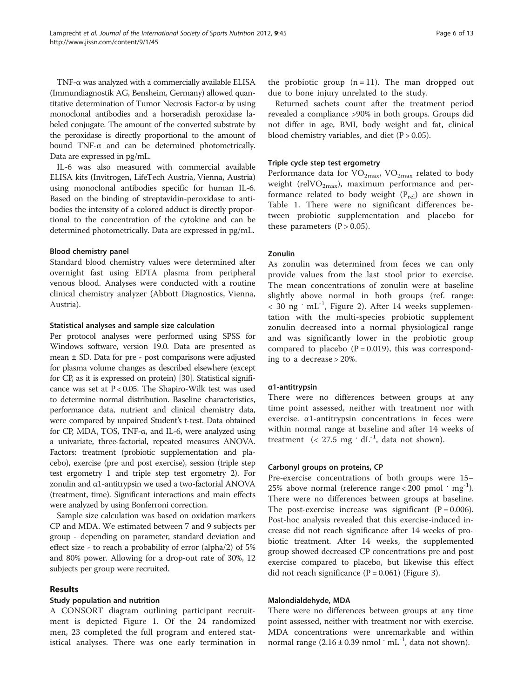TNF-α was analyzed with a commercially available ELISA (Immundiagnostik AG, Bensheim, Germany) allowed quantitative determination of Tumor Necrosis Factor-α by using monoclonal antibodies and a horseradish peroxidase labeled conjugate. The amount of the converted substrate by the peroxidase is directly proportional to the amount of bound TNF-α and can be determined photometrically. Data are expressed in pg/mL.

IL-6 was also measured with commercial available ELISA kits (Invitrogen, LifeTech Austria, Vienna, Austria) using monoclonal antibodies specific for human IL-6. Based on the binding of streptavidin-peroxidase to antibodies the intensity of a colored adduct is directly proportional to the concentration of the cytokine and can be determined photometrically. Data are expressed in pg/mL.

#### Blood chemistry panel

Standard blood chemistry values were determined after overnight fast using EDTA plasma from peripheral venous blood. Analyses were conducted with a routine clinical chemistry analyzer (Abbott Diagnostics, Vienna, Austria).

#### Statistical analyses and sample size calculation

Per protocol analyses were performed using SPSS for Windows software, version 19.0. Data are presented as mean ± SD. Data for pre - post comparisons were adjusted for plasma volume changes as described elsewhere (except for CP, as it is expressed on protein) [\[30\]](#page-11-0). Statistical significance was set at  $P < 0.05$ . The Shapiro-Wilk test was used to determine normal distribution. Baseline characteristics, performance data, nutrient and clinical chemistry data, were compared by unpaired Student's t-test. Data obtained for CP, MDA, TOS, TNF- $\alpha$ , and IL-6, were analyzed using a univariate, three-factorial, repeated measures ANOVA. Factors: treatment (probiotic supplementation and placebo), exercise (pre and post exercise), session (triple step test ergometry 1 and triple step test ergometry 2). For zonulin and α1-antitrypsin we used a two-factorial ANOVA (treatment, time). Significant interactions and main effects were analyzed by using Bonferroni correction.

Sample size calculation was based on oxidation markers CP and MDA. We estimated between 7 and 9 subjects per group - depending on parameter, standard deviation and effect size - to reach a probability of error (alpha/2) of 5% and 80% power. Allowing for a drop-out rate of 30%, 12 subjects per group were recruited.

#### Results

#### Study population and nutrition

A CONSORT diagram outlining participant recruitment is depicted Figure [1](#page-6-0). Of the 24 randomized men, 23 completed the full program and entered statistical analyses. There was one early termination in

the probiotic group  $(n = 11)$ . The man dropped out due to bone injury unrelated to the study.

Returned sachets count after the treatment period revealed a compliance >90% in both groups. Groups did not differ in age, BMI, body weight and fat, clinical blood chemistry variables, and diet  $(P > 0.05)$ .

#### Triple cycle step test ergometry

Performance data for  $VO_{2max}$ ,  $VO_{2max}$  related to body weight (relVO<sub>2max</sub>), maximum performance and performance related to body weight  $(P_{rel})$  are shown in Table [1](#page-2-0). There were no significant differences between probiotic supplementation and placebo for these parameters  $(P > 0.05)$ .

## Zonulin

As zonulin was determined from feces we can only provide values from the last stool prior to exercise. The mean concentrations of zonulin were at baseline slightly above normal in both groups (ref. range:  $< 30$  ng  $\cdot$  mL<sup>-1</sup>, Figure [2](#page-7-0)). After 14 weeks supplementation with the multi-species probiotic supplement zonulin decreased into a normal physiological range and was significantly lower in the probiotic group compared to placebo ( $P = 0.019$ ), this was corresponding to a decrease > 20%.

#### α1-antitrypsin

There were no differences between groups at any time point assessed, neither with treatment nor with exercise. α1-antitrypsin concentrations in feces were within normal range at baseline and after 14 weeks of treatment (< 27.5 mg  $\cdot$  dL<sup>-1</sup>, data not shown).

#### Carbonyl groups on proteins, CP

Pre-exercise concentrations of both groups were 15– 25% above normal (reference range  $<$  200 pmol  $\cdot$  mg<sup>-1</sup>). There were no differences between groups at baseline. The post-exercise increase was significant  $(P = 0.006)$ . Post-hoc analysis revealed that this exercise-induced increase did not reach significance after 14 weeks of probiotic treatment. After 14 weeks, the supplemented group showed decreased CP concentrations pre and post exercise compared to placebo, but likewise this effect did not reach significance  $(P = 0.061)$  (Figure [3](#page-7-0)).

#### Malondialdehyde, MDA

There were no differences between groups at any time point assessed, neither with treatment nor with exercise. MDA concentrations were unremarkable and within normal range  $(2.16 \pm 0.39 \text{ nmol} \cdot \text{mL}^{-1})$ , data not shown).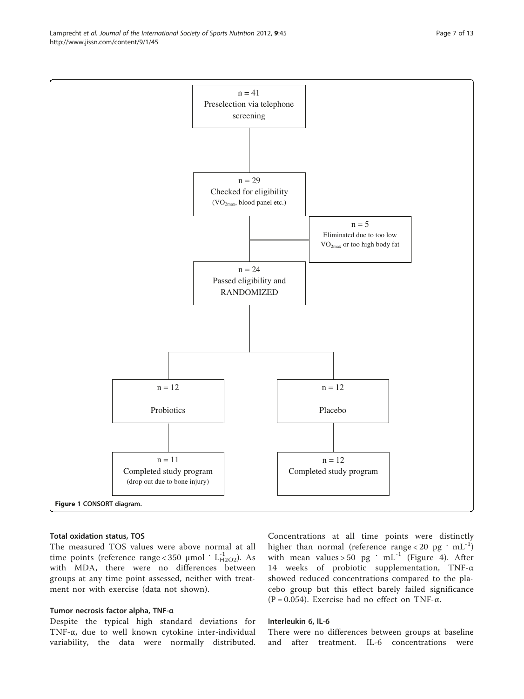<span id="page-6-0"></span>Lamprecht et al. Journal of the International Society of Sports Nutrition 2012, 9:45 http://www.jissn.com/content/9/1/45



#### Total oxidation status, TOS

The measured TOS values were above normal at all time points (reference range <  $350 \mu$ mol· $L_{H2O2}^{-1}$ ). As with MDA, there were no differences between groups at any time point assessed, neither with treatment nor with exercise (data not shown).

## Tumor necrosis factor alpha, TNF-α

Despite the typical high standard deviations for TNF-α, due to well known cytokine inter-individual variability, the data were normally distributed. Concentrations at all time points were distinctly higher than normal (reference range < 20 pg  $\cdot$  mL<sup>-1</sup>) with mean values > 50 pg  $\cdot$  mL<sup>-1</sup> (Figure [4\)](#page-8-0). After 14 weeks of probiotic supplementation, TNF-α showed reduced concentrations compared to the placebo group but this effect barely failed significance (P = 0.054). Exercise had no effect on TNF- $\alpha$ .

#### Interleukin 6, IL-6

There were no differences between groups at baseline and after treatment. IL-6 concentrations were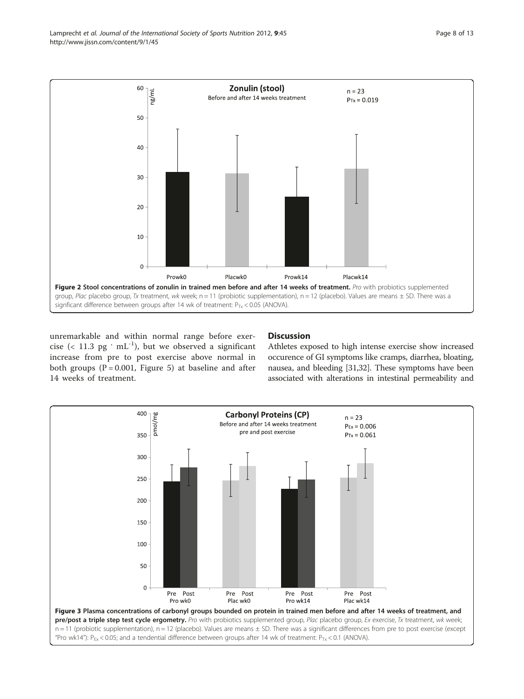<span id="page-7-0"></span>Lamprecht et al. Journal of the International Society of Sports Nutrition 2012, 9:45 http://www.jissn.com/content/9/1/45



unremarkable and within normal range before exercise (< 11.3 pg  $\cdot$  mL<sup>-1</sup>), but we observed a significant increase from pre to post exercise above normal in both groups  $(P = 0.001,$  Figure [5\)](#page-8-0) at baseline and after 14 weeks of treatment.

# **Discussion**

Athletes exposed to high intense exercise show increased occurence of GI symptoms like cramps, diarrhea, bloating, nausea, and bleeding [\[31,32](#page-11-0)]. These symptoms have been associated with alterations in intestinal permeability and

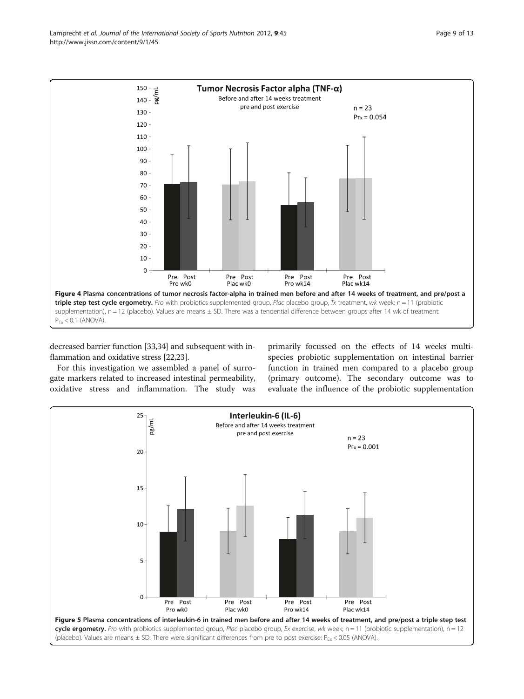<span id="page-8-0"></span>

decreased barrier function [\[33,34](#page-11-0)] and subsequent with inflammation and oxidative stress [[22,23](#page-11-0)].

For this investigation we assembled a panel of surrogate markers related to increased intestinal permeability, oxidative stress and inflammation. The study was

primarily focussed on the effects of 14 weeks multispecies probiotic supplementation on intestinal barrier function in trained men compared to a placebo group (primary outcome). The secondary outcome was to evaluate the influence of the probiotic supplementation

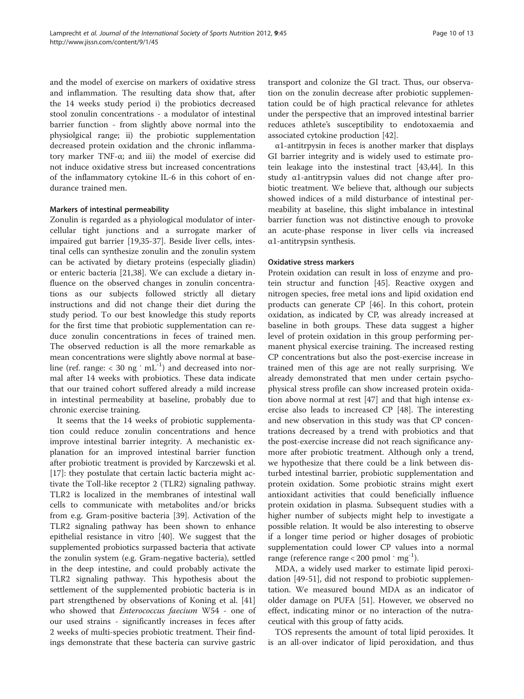and the model of exercise on markers of oxidative stress and inflammation. The resulting data show that, after the 14 weeks study period i) the probiotics decreased stool zonulin concentrations - a modulator of intestinal barrier function - from slightly above normal into the physiolgical range; ii) the probiotic supplementation decreased protein oxidation and the chronic inflammatory marker TNF-α; and iii) the model of exercise did not induce oxidative stress but increased concentrations of the inflammatory cytokine IL-6 in this cohort of endurance trained men.

#### Markers of intestinal permeability

Zonulin is regarded as a phyiological modulator of intercellular tight junctions and a surrogate marker of impaired gut barrier [\[19,35-37](#page-11-0)]. Beside liver cells, intestinal cells can synthesize zonulin and the zonulin system can be activated by dietary proteins (especially gliadin) or enteric bacteria [\[21,38](#page-11-0)]. We can exclude a dietary influence on the observed changes in zonulin concentrations as our subjects followed strictly all dietary instructions and did not change their diet during the study period. To our best knowledge this study reports for the first time that probiotic supplementation can reduce zonulin concentrations in feces of trained men. The observed reduction is all the more remarkable as mean concentrations were slightly above normal at baseline (ref. range:  $< 30$  ng · mL<sup>-1</sup>) and decreased into normal after 14 weeks with probiotics. These data indicate that our trained cohort suffered already a mild increase in intestinal permeability at baseline, probably due to chronic exercise training.

It seems that the 14 weeks of probiotic supplementation could reduce zonulin concentrations and hence improve intestinal barrier integrity. A mechanistic explanation for an improved intestinal barrier function after probiotic treatment is provided by Karczewski et al. [[17\]](#page-11-0): they postulate that certain lactic bacteria might activate the Toll-like receptor 2 (TLR2) signaling pathway. TLR2 is localized in the membranes of intestinal wall cells to communicate with metabolites and/or bricks from e.g. Gram-positive bacteria [\[39\]](#page-11-0). Activation of the TLR2 signaling pathway has been shown to enhance epithelial resistance in vitro [\[40\]](#page-11-0). We suggest that the supplemented probiotics surpassed bacteria that activate the zonulin system (e.g. Gram-negative bacteria), settled in the deep intestine, and could probably activate the TLR2 signaling pathway. This hypothesis about the settlement of the supplemented probiotic bacteria is in part strengthened by observations of Koning et al. [[41](#page-11-0)] who showed that *Enterococcus faecium* W54 - one of our used strains - significantly increases in feces after 2 weeks of multi-species probiotic treatment. Their findings demonstrate that these bacteria can survive gastric transport and colonize the GI tract. Thus, our observation on the zonulin decrease after probiotic supplementation could be of high practical relevance for athletes under the perspective that an improved intestinal barrier reduces athlete's susceptibility to endotoxaemia and associated cytokine production [[42](#page-11-0)].

 $\alpha$ 1-antitrpysin in feces is another marker that displays GI barrier integrity and is widely used to estimate protein leakage into the instestinal tract [[43](#page-12-0),[44](#page-12-0)]. In this study α1-antitrypsin values did not change after probiotic treatment. We believe that, although our subjects showed indices of a mild disturbance of intestinal permeability at baseline, this slight imbalance in intestinal barrier function was not distinctive enough to provoke an acute-phase response in liver cells via increased α1-antitrypsin synthesis.

## Oxidative stress markers

Protein oxidation can result in loss of enzyme and protein structur and function [\[45](#page-12-0)]. Reactive oxygen and nitrogen species, free metal ions and lipid oxidation end products can generate CP [\[46\]](#page-12-0). In this cohort, protein oxidation, as indicated by CP, was already increased at baseline in both groups. These data suggest a higher level of protein oxidation in this group performing permanent physical exercise training. The increased resting CP concentrations but also the post-exercise increase in trained men of this age are not really surprising. We already demonstrated that men under certain psychophysical stress profile can show increased protein oxidation above normal at rest [\[47\]](#page-12-0) and that high intense exercise also leads to increased CP [[48](#page-12-0)]. The interesting and new observation in this study was that CP concentrations decreased by a trend with probiotics and that the post-exercise increase did not reach significance anymore after probiotic treatment. Although only a trend, we hypothesize that there could be a link between disturbed intestinal barrier, probiotic supplementation and protein oxidation. Some probiotic strains might exert antioxidant activities that could beneficially influence protein oxidation in plasma. Subsequent studies with a higher number of subjects might help to investigate a possible relation. It would be also interesting to observe if a longer time period or higher dosages of probiotic supplementation could lower CP values into a normal range (reference range <  $200$  pmol  $\cdot$  mg<sup>-1</sup>).

MDA, a widely used marker to estimate lipid peroxidation [\[49-51](#page-12-0)], did not respond to probiotic supplementation. We measured bound MDA as an indicator of older damage on PUFA [\[51\]](#page-12-0). However, we observed no effect, indicating minor or no interaction of the nutraceutical with this group of fatty acids.

TOS represents the amount of total lipid peroxides. It is an all-over indicator of lipid peroxidation, and thus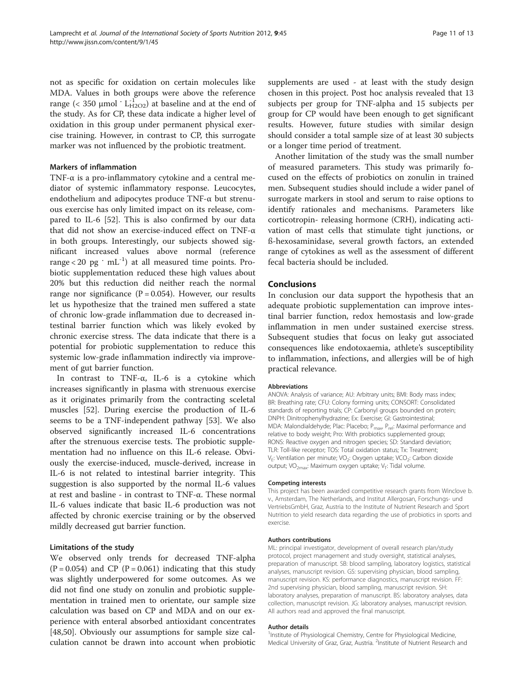not as specific for oxidation on certain molecules like MDA. Values in both groups were above the reference range (< 350  $\mu$ mol  $\cdot$  L<sup>-1</sup><sub>H2O2</sub>) at baseline and at the end of the study. As for CP, these data indicate a higher level of oxidation in this group under permanent physical exercise training. However, in contrast to CP, this surrogate marker was not influenced by the probiotic treatment.

#### Markers of inflammation

TNF-α is a pro-inflammatory cytokine and a central mediator of systemic inflammatory response. Leucocytes, endothelium and adipocytes produce TNF-α but strenuous exercise has only limited impact on its release, compared to IL-6 [[52](#page-12-0)]. This is also confirmed by our data that did not show an exercise-induced effect on TNF-α in both groups. Interestingly, our subjects showed significant increased values above normal (reference range < 20 pg  $\cdot$  mL<sup>-1</sup>) at all measured time points. Probiotic supplementation reduced these high values about 20% but this reduction did neither reach the normal range nor significance  $(P = 0.054)$ . However, our results let us hypothesize that the trained men suffered a state of chronic low-grade inflammation due to decreased intestinal barrier function which was likely evoked by chronic exercise stress. The data indicate that there is a potential for probiotic supplementation to reduce this systemic low-grade inflammation indirectly via improvement of gut barrier function.

In contrast to TNF-α, IL-6 is a cytokine which increases significantly in plasma with strenuous exercise as it originates primarily from the contracting sceletal muscles [[52\]](#page-12-0). During exercise the production of IL-6 seems to be a TNF-independent pathway [\[53](#page-12-0)]. We also observed significantly increased IL-6 concentrations after the strenuous exercise tests. The probiotic supplementation had no influence on this IL-6 release. Obviously the exercise-induced, muscle-derived, increase in IL-6 is not related to intestinal barrier integrity. This suggestion is also supported by the normal IL-6 values at rest and basline - in contrast to TNF-α. These normal IL-6 values indicate that basic IL-6 production was not affected by chronic exercise training or by the observed mildly decreased gut barrier function.

#### Limitations of the study

We observed only trends for decreased TNF-alpha  $(P = 0.054)$  and CP  $(P = 0.061)$  indicating that this study was slightly underpowered for some outcomes. As we did not find one study on zonulin and probiotic supplementation in trained men to orientate, our sample size calculation was based on CP and MDA and on our experience with enteral absorbed antioxidant concentrates [[48,50\]](#page-12-0). Obviously our assumptions for sample size calculation cannot be drawn into account when probiotic supplements are used - at least with the study design chosen in this project. Post hoc analysis revealed that 13 subjects per group for TNF-alpha and 15 subjects per group for CP would have been enough to get significant results. However, future studies with similar design should consider a total sample size of at least 30 subjects or a longer time period of treatment.

Another limitation of the study was the small number of measured parameters. This study was primarily focused on the effects of probiotics on zonulin in trained men. Subsequent studies should include a wider panel of surrogate markers in stool and serum to raise options to identify rationales and mechanisms. Parameters like corticotropin- releasing hormone (CRH), indicating activation of mast cells that stimulate tight junctions, or ß-hexosaminidase, several growth factors, an extended range of cytokines as well as the assessment of different fecal bacteria should be included.

#### **Conclusions**

In conclusion our data support the hypothesis that an adequate probiotic supplementation can improve intestinal barrier function, redox hemostasis and low-grade inflammation in men under sustained exercise stress. Subsequent studies that focus on leaky gut associated consequences like endotoxaemia, athlete's susceptibility to inflammation, infections, and allergies will be of high practical relevance.

#### Abbreviations

ANOVA: Analysis of variance; AU: Arbitrary units; BMI: Body mass index; BR: Breathing rate; CFU: Colony forming units; CONSORT: Consolidated standards of reporting trials; CP: Carbonyl groups bounded on protein; DNPH: Dinitrophenylhydrazine; Ex: Exercise; GI: Gastrointestinal; MDA: Malondialdehyde; Plac: Placebo; P<sub>max</sub>, P<sub>rel</sub>: Maximal performance and relative to body weight; Pro: With probiotics supplemented group; RONS: Reactive oxygen and nitrogen species; SD: Standard deviation; TLR: Toll-like receptor; TOS: Total oxidation status; Tx: Treatment; V<sub>E</sub>: Ventilation per minute; VO<sub>2</sub>: Oxygen uptake; VCO<sub>2</sub>: Carbon dioxide output; VO<sub>2max</sub>: Maximum oxygen uptake; V<sub>T</sub>: Tidal volume.

#### Competing interests

This project has been awarded competitive research grants from Winclove b. v., Amsterdam, The Netherlands, and Institut Allergosan, Forschungs- und VertriebsGmbH, Graz, Austria to the Institute of Nutrient Research and Sport Nutrition to yield research data regarding the use of probiotics in sports and exercise.

#### Authors contributions

ML: principal investigator, development of overall research plan/study protocol, project management and study oversight, statistical analyses, preparation of manuscript. SB: blood sampling, laboratory logistics, statistical analyses, manuscript revision. GS: supervising physician, blood sampling, manuscript revision. KS: performance diagnostics, manuscript revision. FF: 2nd supervising physician, blood sampling, manuscript revision. SH: laboratory analyses, preparation of manuscript. BS: laboratory analyses, data collection, manuscript revision. JG: laboratory analyses, manuscript revision. All authors read and approved the final manuscript.

#### Author details

<sup>1</sup>Institute of Physiological Chemistry, Centre for Physiological Medicine, Medical University of Graz, Graz, Austria. <sup>2</sup>Institute of Nutrient Research and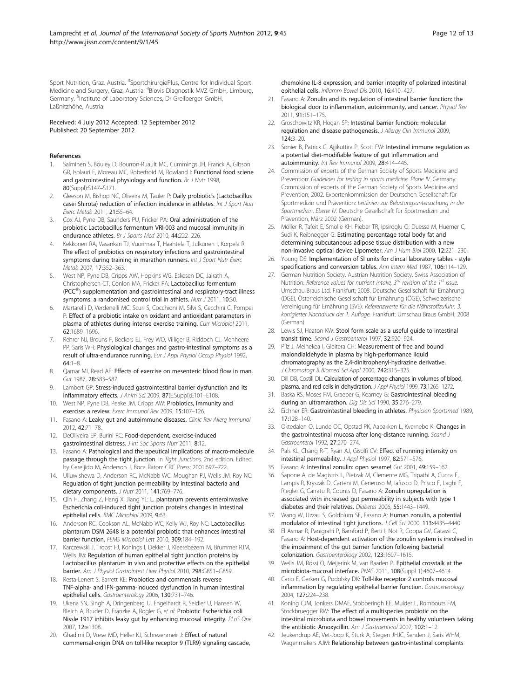<span id="page-11-0"></span>Sport Nutrition, Graz, Austria. <sup>3</sup>SportchirurgiePlus, Centre for Individual Sport Medicine and Surgery, Graz, Austria. <sup>4</sup>Biovis Diagnostik MVZ GmbH, Limburg, Germany. <sup>5</sup>Institute of Laboratory Sciences, Dr Greilberger GmbH, Laßnitzhöhe, Austria.

#### Received: 4 July 2012 Accepted: 12 September 2012 Published: 20 September 2012

#### References

- 1. Salminen S, Bouley D, Bourron-Ruault MC, Cummings JH, Franck A, Gibson GR, Isolauri E, Moreau MC, Roberfroid M, Rowland I: Functional food sciene and gastrointestinal physiology and function. Br J Nutr 1998, 80(Suppl):S147–S171.
- 2. Gleeson M, Bishop NC, Oliveira M, Tauler P: Daily probiotic's (Lactobacillus casei Shirota) reduction of infection incidence in athletes. Int J Sport Nutr Exerc Metab 2011, 21:55–64.
- 3. Cox AJ, Pyne DB, Saunders PU, Fricker PA: Oral administration of the probiotic Lactobacillus fermentum VRI-003 and mucosal immunity in endurance athletes. Br J Sports Med 2010, 44:222-226.
- 4. Kekkonen RA, Vasankari TJ, Vuorimaa T, Haahtela T, Julkunen I, Korpela R: The effect of probiotics on respiratory infections and gastrointestinal symptoms during training in marathon runners. Int J Sport Nutr Exerc Metab 2007, 17:352–363.
- 5. West NP, Pyne DB, Cripps AW, Hopkins WG, Eskesen DC, Jairath A, Christophersen CT, Conlon MA, Fricker PA: Lactobacillus fermentum  $(PCC^®)$  supplementation and gastrointestinal and respiratory-tract illness symptoms: a randomised control trial in athlets. Nutr J 2011, 10:30.
- 6. Martarelli D, Verdenelli MC, Scuri S, Cocchioni M, Silvi S, Cecchini C, Pompei P: Effect of a probiotic intake on oxidant and antioxidant parameters in plasma of athletes during intense exercise training. Curr Microbiol 2011, 62:1689–1696.
- Rehrer NJ, Brouns F, Beckers EJ, Frey WO, Villiger B, Riddoch CJ, Menheere PP, Saris WH: Physiological changes and gastro-intestinal symptoms as a result of ultra-endurance running. Eur J Appl Physiol Occup Physiol 1992, 64:1–8.
- 8. Qarnar MI, Read AE: Effects of exercise on mesenteric blood flow in man. Gut 1987, 28:583–587.
- 9. Lambert GP: Stress-induced gastrointestinal barrier dysfunction and its inflammatory effects. J Anim Sci 2009, 87(E.Suppl):E101–E108.
- 10. West NP, Pyne DB, Peake JM, Cripps AW: Probiotics, immunity and exercise: a review. Exerc Immunol Rev 2009, 15:107–126.
- 11. Fasano A: Leaky qut and autoimmune diseases. Clinic Rev Allerg Immunol 2012, 42:71–78.
- 12. DeOliveira EP, Burini RC: Food-dependent, exercise-induced gastrointestinal distress. J Int Soc Sports Nutr 2011, 8:12.
- 13. Fasano A: Pathological and therapeutical implications of macro-molecule passage through the tight junction. In Tight Junctions. 2nd edition. Edited by Cereijido M, Anderson J. Boca Raton: CRC Press; 2001:697–722.
- 14. Ulluwishewa D, Anderson RC, McNabb WC, Moughan PJ, Wells JM, Roy NC: Regulation of tight junction permeability by intestinal bacteria and dietary components. J Nutr 2011, 141:769-776.
- 15. Qin H, Zhang Z, Hang X, Jiang YL: L. plantarum prevents enteroinvasive Escherichia coli-induced tight junction proteins changes in intestinal epithelial cells. BMC Microbiol 2009, 9:63.
- 16. Anderson RC, Cookson AL, McNabb WC, Kelly WJ, Roy NC: Lactobacillus plantarum DSM 2648 is a potential probiotic that enhances intestinal barrier function. FFMS Microbiol Lett 2010, 309:184-192.
- 17. Karczewski J, Troost FJ, Konings I, Dekker J, Kleerebezem M, Brummer RJM, Wells JM: Regulation of human epithelial tight junction proteins by Lactobacillus plantarum in vivo and protective effects on the epithelial barrier. Am J Physiol Gastrointest Liver Physiol 2010, 298:G851–G859.
- 18. Resta-Lenert S, Barrett KE: Probiotics and commensals reverse TNF-alpha- and IFN-gamma-induced dysfunction in human intestinal epithelial cells. Gastroenterology 2006, 130:731–746.
- 19. Ukena SN, Singh A, Dringenberg U, Engelhardt R, Seidler U, Hansen W, Bleich A, Bruder D, Franzke A, Rogler G, et al: Probiotic Escherichia coli Nissle 1917 inhibits leaky gut by enhancing mucosal integrity. PLoS One 2007, 12:e1308.
- 20. Ghadimi D, Vrese MD, Heller KJ, Schrezenmeir J: Effect of natural commensal-origin DNA on toll-like receptor 9 (TLR9) signaling cascade,

chemokine IL-8 expression, and barrier integrity of polarized intestinal epithelial cells. Inflamm Bowel Dis 2010, 16:410–427.

- 21. Fasano A: Zonulin and its regulation of intestinal barrier function: the biological door to inflammation, autoimmunity, and cancer. Physiol Rev 2011, 91:151–175.
- 22. Groschowitz KR, Hogan SP: Intestinal barrier function: molecular regulation and disease pathogenesis. J Allergy Clin Immunol 2009, 124:3–20.
- 23. Sonier B, Patrick C, Ajjikuttira P, Scott FW: Intestinal immune regulation as a potential diet-modifiable feature of gut inflammation and autoimmunity. Int Rev Immunol 2009, 28:414–445.
- 24. Commission of experts of the German Society of Sports Medicine and Prevention: Guidelines for testing in sports medicine. Plane IV. Germany: Commission of experts of the German Society of Sports Medicine and Prevention; 2002. Expertenkommission der Deutschen Gesellschaft für Sportmedizin und Prävention: Leitlinien zur Belastungsuntersuchung in der Sportmedizin. Ebene IV. Deutsche Gesellschaft für Sportmedizin und Prävention, März 2002 (German).
- 25. Möller R, Tafeit E, Smolle KH, Pieber TR, Ipsiroglu O, Duesse M, Huemer C, Sudi K, Reibnegger G: Estimating percentage total body fat and determining subcutaneous adipose tissue distribution with a new non-invasive optical device Lipometer. Am J Hum Biol 2000, 12:221–230.
- 26. Young DS: Implementation of SI units for clincal laboratory tables style specifications and conversion tables. Ann Intern Med 1987, 106:114–129.
- 27. German Nutrition Society, Austrian Nutrition Society, Swiss Association of Nutrition: Reference values for nutrient intake,  $3^{rd}$  revision of the  $1^{st}$  issue. Umschau Braus Ltd: Frankfurt; 2008. Deutsche Gesellschaft für Ernährung (DGE), Österreichische Gesellschaft für Ernährung (ÖGE), Schweizerische Vereinigung für Ernährung (SVE): Referenzwerte für die Nährstoffzufuhr. 3. korrigierter Nachdruck der 1. Auflage. Frankfurt: Umschau Braus GmbH; 2008 (German).
- 28. Lewis SJ, Heaton KW: Stool form scale as a useful guide to intestinal transit time. Scand J Gastroenterol 1997, 32:920–924.
- 29. Pilz J, Meinekea I, Gleitera CH: Measurement of free and bound malondialdehyde in plasma by high-performance liquid chromatography as the 2,4-dinitrophenyl-hydrazine derivative. J Chromatogr B Biomed Sci Appl 2000, 742:315–325.
- 30. Dill DB, Costill DL: Calculation of percentage changes in volumes of blood, plasma, and red cells in dehydration. J Appl Physiol 1999, 73:1265–1272.
- 31. Baska RS, Moses FM, Graeber G, Kearney G: Gastrointestinal bleeding during an ultramarathon. Dig Dis Sci 1990, 35:276-279.
- 32. Eichner ER: Gastrointestinal bleeding in athletes. Physician Sportsmed 1989, 17:128–140.
- 33. Oktedalen O, Lunde OC, Opstad PK, Aabakken L, Kvernebo K: Changes in the gastrointestinal mucosa after long-distance running. Scand J Gastroenterol 1992, 27:270–274.
- 34. Pals KL, Chang R-T, Ryan AJ, Gisolfi CV: Effect of running intensity on intestinal permeability. J Appl Physiol 1997, 82:571–576.
- 35. Fasano A: Intestinal zonulin: open sesame! Gut 2001, 49:159–162.
- 36. Sapone A, de Magistris L, Pietzak M, Clemente MG, Tripathi A, Cucca F, Lampis R, Kryszak D, Carteni M, Generoso M, Iafusco D, Prisco F, Laghi F, Riegler G, Carratu R, Counts D, Fasano A: Zonulin upregulation is associated with increased gut permeability in subjects with type 1 diabetes and their relatives. Diabetes 2006, 55:1443–1449.
- 37. Wang W, Uzzau S, Goldblum SE, Fasano A: Human zonulin, a potential modulator of intestinal tight junctions. J Cell Sci 2000, 113:4435-4440.
- El Asmar R, Panigrahi P, Bamford P, Berti I, Not R, Coppa GV, Catassi C, Fasano A: Host-dependent activation of the zonulin system is involved in the impairment of the gut barrier function following bacterial colonization. Gastroenterology 2002, 123:1607–1615.
- 39. Wells JM, Rossi O, Meijerink M, van Baarlen P: Epithelial crosstalk at the microbiota-mucosal interface. PNAS 2011, 108(Suppl 1):4607–4614.
- 40. Cario E, Gerken G, Podolsky DK: Toll-like receptor 2 controls mucosal inflammation by regulating epithelial barrier function. Gastroenerology 2004, 127:224–238.
- 41. Koning CJM, Jonkers DMAE, Stobberingh EE, Mulder L, Rombouts FM, Stockbruegger RW: The effect of a multispecies probiotic on the intestinal microbiota and bowel movements in healthy volunteers taking the antibiotic Amoxycillin. Am J Gastroenterol 2007, 102:1-12.
- 42. Jeukendrup AE, Vet-Joop K, Sturk A, Stegen JHJC, Senden J, Saris WHM, Wagenmakers AJM: Relationship between gastro-intestinal complaints